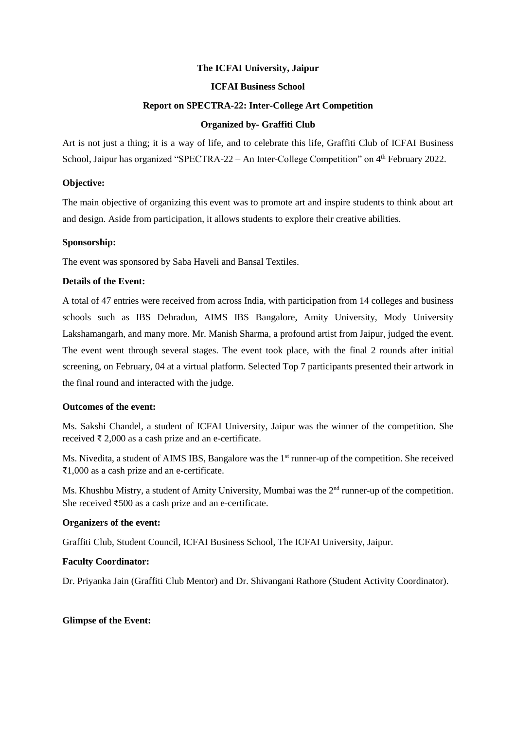# **The ICFAI University, Jaipur**

# **ICFAI Business School**

#### **Report on SPECTRA-22: Inter-College Art Competition**

#### **Organized by- Graffiti Club**

Art is not just a thing; it is a way of life, and to celebrate this life, Graffiti Club of ICFAI Business School, Jaipur has organized "SPECTRA-22 - An Inter-College Competition" on 4<sup>th</sup> February 2022.

# **Objective:**

The main objective of organizing this event was to promote art and inspire students to think about art and design. Aside from participation, it allows students to explore their creative abilities.

#### **Sponsorship:**

The event was sponsored by Saba Haveli and Bansal Textiles.

#### **Details of the Event:**

A total of 47 entries were received from across India, with participation from 14 colleges and business schools such as IBS Dehradun, AIMS IBS Bangalore, Amity University, Mody University Lakshamangarh, and many more. Mr. Manish Sharma, a profound artist from Jaipur, judged the event. The event went through several stages. The event took place, with the final 2 rounds after initial screening, on February, 04 at a virtual platform. Selected Top 7 participants presented their artwork in the final round and interacted with the judge.

# **Outcomes of the event:**

Ms. Sakshi Chandel, a student of ICFAI University, Jaipur was the winner of the competition. She received ₹ 2,000 as a cash prize and an e-certificate.

Ms. Nivedita, a student of AIMS IBS, Bangalore was the 1<sup>st</sup> runner-up of the competition. She received ₹1,000 as a cash prize and an e-certificate.

Ms. Khushbu Mistry, a student of Amity University, Mumbai was the  $2<sup>nd</sup>$  runner-up of the competition. She received ₹500 as a cash prize and an e-certificate.

#### **Organizers of the event:**

Graffiti Club, Student Council, ICFAI Business School, The ICFAI University, Jaipur.

# **Faculty Coordinator:**

Dr. Priyanka Jain (Graffiti Club Mentor) and Dr. Shivangani Rathore (Student Activity Coordinator).

# **Glimpse of the Event:**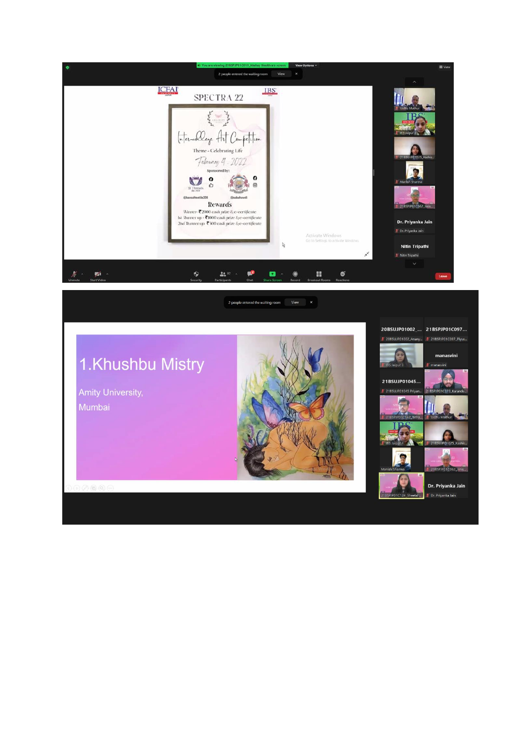

# 1.Khushbu Mistry

Mumbai



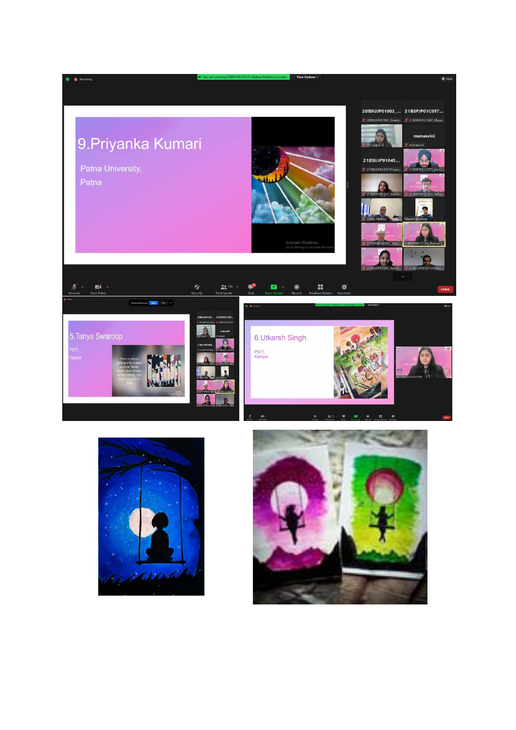